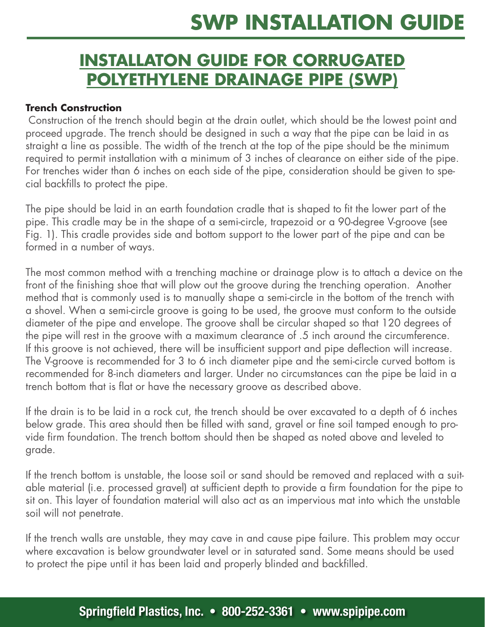### **INSTALLATON GUIDE FOR CORRUGATED POLYETHYLENE DRAINAGE PIPE (SWP)**

#### **Trench Construction**

Construction of the trench should begin at the drain outlet, which should be the lowest point and proceed upgrade. The trench should be designed in such a way that the pipe can be laid in as straight a line as possible. The width of the trench at the top of the pipe should be the minimum required to permit installation with a minimum of 3 inches of clearance on either side of the pipe. For trenches wider than 6 inches on each side of the pipe, consideration should be given to special backfills to protect the pipe.

The pipe should be laid in an earth foundation cradle that is shaped to fit the lower part of the pipe. This cradle may be in the shape of a semi-circle, trapezoid or a 90-degree V-groove (see Fig. 1). This cradle provides side and bottom support to the lower part of the pipe and can be formed in a number of ways.

The most common method with a trenching machine or drainage plow is to attach a device on the front of the finishing shoe that will plow out the groove during the trenching operation. Another method that is commonly used is to manually shape a semi-circle in the bottom of the trench with a shovel. When a semi-circle groove is going to be used, the groove must conform to the outside diameter of the pipe and envelope. The groove shall be circular shaped so that 120 degrees of the pipe will rest in the groove with a maximum clearance of .5 inch around the circumference. If this groove is not achieved, there will be insufficient support and pipe deflection will increase. The V-groove is recommended for 3 to 6 inch diameter pipe and the semi-circle curved bottom is recommended for 8-inch diameters and larger. Under no circumstances can the pipe be laid in a trench bottom that is flat or have the necessary groove as described above.

If the drain is to be laid in a rock cut, the trench should be over excavated to a depth of 6 inches below grade. This area should then be filled with sand, gravel or fine soil tamped enough to provide firm foundation. The trench bottom should then be shaped as noted above and leveled to grade.

If the trench bottom is unstable, the loose soil or sand should be removed and replaced with a suitable material (i.e. processed gravel) at sufficient depth to provide a firm foundation for the pipe to sit on. This layer of foundation material will also act as an impervious mat into which the unstable soil will not penetrate.

If the trench walls are unstable, they may cave in and cause pipe failure. This problem may occur where excavation is below groundwater level or in saturated sand. Some means should be used to protect the pipe until it has been laid and properly blinded and backfilled.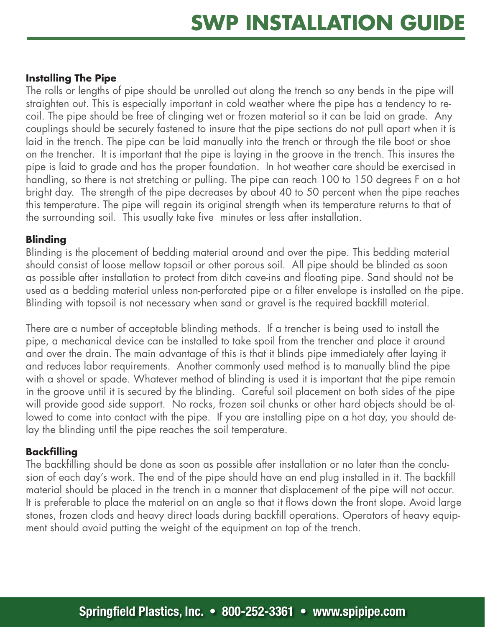### **Installing The Pipe**

The rolls or lengths of pipe should be unrolled out along the trench so any bends in the pipe will straighten out. This is especially important in cold weather where the pipe has a tendency to recoil. The pipe should be free of clinging wet or frozen material so it can be laid on grade. Any couplings should be securely fastened to insure that the pipe sections do not pull apart when it is laid in the trench. The pipe can be laid manually into the trench or through the tile boot or shoe on the trencher. It is important that the pipe is laying in the groove in the trench. This insures the pipe is laid to grade and has the proper foundation. In hot weather care should be exercised in handling, so there is not stretching or pulling. The pipe can reach 100 to 150 degrees F on a hot bright day. The strength of the pipe decreases by about 40 to 50 percent when the pipe reaches this temperature. The pipe will regain its original strength when its temperature returns to that of the surrounding soil. This usually take five minutes or less after installation.

### **Blinding**

Blinding is the placement of bedding material around and over the pipe. This bedding material should consist of loose mellow topsoil or other porous soil. All pipe should be blinded as soon as possible after installation to protect from ditch cave-ins and floating pipe. Sand should not be used as a bedding material unless non-perforated pipe or a filter envelope is installed on the pipe. Blinding with topsoil is not necessary when sand or gravel is the required backfill material.

There are a number of acceptable blinding methods. If a trencher is being used to install the pipe, a mechanical device can be installed to take spoil from the trencher and place it around and over the drain. The main advantage of this is that it blinds pipe immediately after laying it and reduces labor requirements. Another commonly used method is to manually blind the pipe with a shovel or spade. Whatever method of blinding is used it is important that the pipe remain in the groove until it is secured by the blinding. Careful soil placement on both sides of the pipe will provide good side support. No rocks, frozen soil chunks or other hard objects should be allowed to come into contact with the pipe. If you are installing pipe on a hot day, you should delay the blinding until the pipe reaches the soil temperature.

### **Backfilling**

The backfilling should be done as soon as possible after installation or no later than the conclusion of each day's work. The end of the pipe should have an end plug installed in it. The backfill material should be placed in the trench in a manner that displacement of the pipe will not occur. It is preferable to place the material on an angle so that it flows down the front slope. Avoid large stones, frozen clods and heavy direct loads during backfill operations. Operators of heavy equipment should avoid putting the weight of the equipment on top of the trench.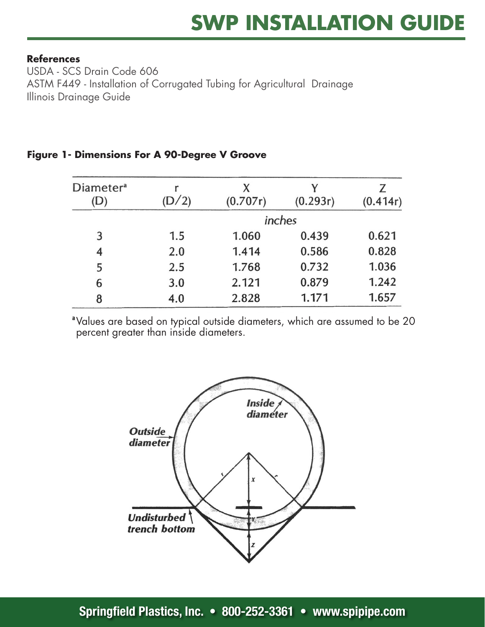#### **References REFERENCES**

ASTM F449 - Installation of Corrugated Tubing for Agricultural Drainage<br>''' USDA - SCS Drain Code 606 Illinois Drainage Guide

| Diameter <sup>a</sup><br>(D) | D/2    | (0.707r) | (0.293r) | Z<br>(0.414r) |
|------------------------------|--------|----------|----------|---------------|
|                              | inches |          |          |               |
| 3                            | 1.5    | 1.060    | 0.439    | 0.621         |
| 4                            | 2.0    | 1.414    | 0.586    | 0.828         |
| 5                            | 2.5    | 1.768    | 0.732    | 1.036         |
| 6                            | 3.0    | 2.121    | 0.879    | 1.242         |
| 8                            | 4.0    | 2.828    | 1.171    | 1.657         |

### **Figure 1 - Dimensions For A 90-Degree V Groove Figure 1- Dimensions For A 90-Degree V Groove**

<sup>a</sup> Values are based on typical outside diameters, which are assumed to be 20 percent greater than inside diameters.